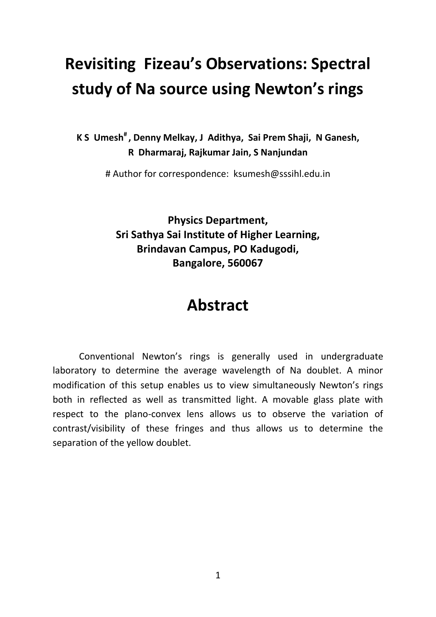# **Revisiting Fizeau's Observations: Spectral study of Na source using Newton's rings**

**K S Umesh# , Denny Melkay, J Adithya, Sai Prem Shaji, N Ganesh, R Dharmaraj, Rajkumar Jain, S Nanjundan**

# Author for correspondence: ksumesh@sssihl.edu.in

**Physics Department, Sri Sathya Sai Institute of Higher Learning, Brindavan Campus, PO Kadugodi, Bangalore, 560067**

# **Abstract**

Conventional Newton's rings is generally used in undergraduate laboratory to determine the average wavelength of Na doublet. A minor modification of this setup enables us to view simultaneously Newton's rings both in reflected as well as transmitted light. A movable glass plate with respect to the plano-convex lens allows us to observe the variation of contrast/visibility of these fringes and thus allows us to determine the separation of the yellow doublet.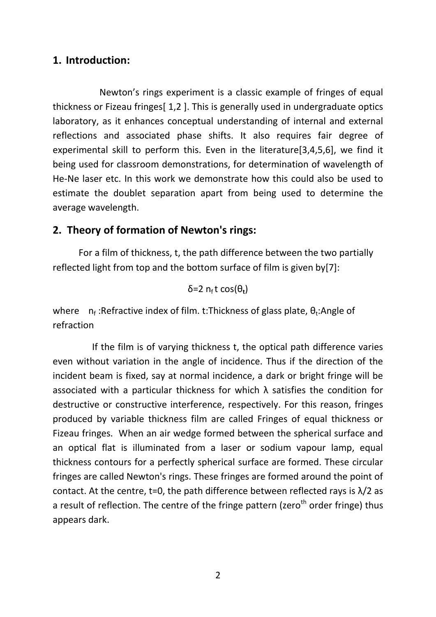### **1. Introduction:**

Newton's rings experiment is a classic example of fringes of equal thickness or Fizeau fringes[ 1,2 ]. This is generally used in undergraduate optics laboratory, as it enhances conceptual understanding of internal and external reflections and associated phase shifts. It also requires fair degree of experimental skill to perform this. Even in the literature[3,4,5,6], we find it being used for classroom demonstrations, for determination of wavelength of He-Ne laser etc. In this work we demonstrate how this could also be used to estimate the doublet separation apart from being used to determine the average wavelength.

# **2. Theory of formation of Newton's rings:**

For a film of thickness, t, the path difference between the two partially reflected light from top and the bottom surface of film is given by[7]:

 $δ=2$  n<sub>f</sub> t cos( $θ$ <sub>t</sub>)

where  $n_f$ :Refractive index of film. t:Thickness of glass plate,  $\theta_t$ :Angle of refraction

 If the film is of varying thickness t, the optical path difference varies even without variation in the angle of incidence. Thus if the direction of the incident beam is fixed, say at normal incidence, a dark or bright fringe will be associated with a particular thickness for which  $\lambda$  satisfies the condition for destructive or constructive interference, respectively. For this reason, fringes produced by variable thickness film are called Fringes of equal thickness or Fizeau fringes. When an air wedge formed between the spherical surface and an optical flat is illuminated from a laser or sodium vapour lamp, equal thickness contours for a perfectly spherical surface are formed. These circular fringes are called Newton's rings. These fringes are formed around the point of contact. At the centre, t=0, the path difference between reflected rays is  $\lambda/2$  as a result of reflection. The centre of the fringe pattern (zero<sup>th</sup> order fringe) thus appears dark.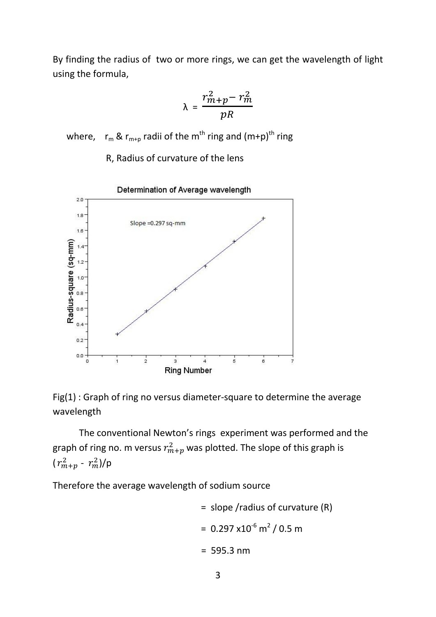By finding the radius of two or more rings, we can get the wavelength of light using the formula,

$$
\lambda = \frac{r_{m+p}^2 - r_m^2}{pR}
$$

where,  $r_m \& r_{m+p}$  radii of the m<sup>th</sup> ring and  $(m+p)^{th}$  ring

R, Radius of curvature of the lens



Fig(1) : Graph of ring no versus diameter-square to determine the average wavelength

The conventional Newton's rings experiment was performed and the graph of ring no. m versus  $r_{m+p}^2$  was plotted. The slope of this graph is  $(r_{m+p}^2 - r_m^2)/p$ 

Therefore the average wavelength of sodium source

= slope/radius of curvature (R)  
= 
$$
0.297 \times 10^{-6}
$$
 m<sup>2</sup> / 0.5 m  
= 595.3 nm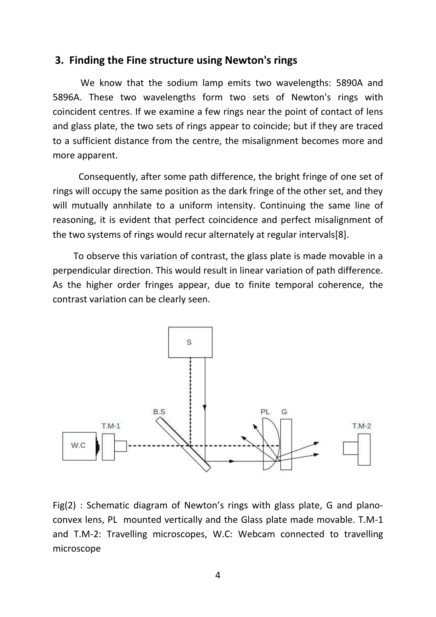#### **3. Finding the Fine structure using Newton's rings**

 We know that the sodium lamp emits two wavelengths: 5890A and 5896A. These two wavelengths form two sets of Newton's rings with coincident centres. If we examine a few rings near the point of contact of lens and glass plate, the two sets of rings appear to coincide; but if they are traced to a sufficient distance from the centre, the misalignment becomes more and more apparent.

Consequently, after some path difference, the bright fringe of one set of rings will occupy the same position as the dark fringe of the other set, and they will mutually annhilate to a uniform intensity. Continuing the same line of reasoning, it is evident that perfect coincidence and perfect misalignment of the two systems of rings would recur alternately at regular intervals[8].

 To observe this variation of contrast, the glass plate is made movable in a perpendicular direction. This would result in linear variation of path difference. As the higher order fringes appear, due to finite temporal coherence, the contrast variation can be clearly seen.



Fig(2) : Schematic diagram of Newton's rings with glass plate, G and planoconvex lens, PL mounted vertically and the Glass plate made movable. T.M-1 and T.M-2: Travelling microscopes, W.C: Webcam connected to travelling microscope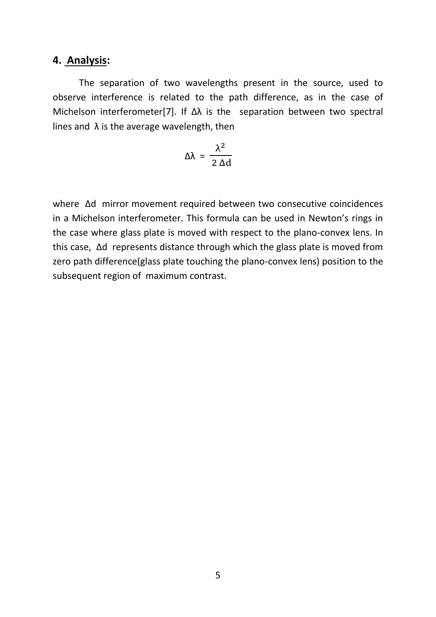#### **4. Analysis:**

The separation of two wavelengths present in the source, used to observe interference is related to the path difference, as in the case of Michelson interferometer[7]. If  $\Delta\lambda$  is the separation between two spectral lines and  $\lambda$  is the average wavelength, then

$$
\Delta\lambda = \frac{\lambda^2}{2 \, \Delta d}
$$

where Δd mirror movement required between two consecutive coincidences in a Michelson interferometer. This formula can be used in Newton's rings in the case where glass plate is moved with respect to the plano-convex lens. In this case, Δd represents distance through which the glass plate is moved from zero path difference(glass plate touching the plano-convex lens) position to the subsequent region of maximum contrast.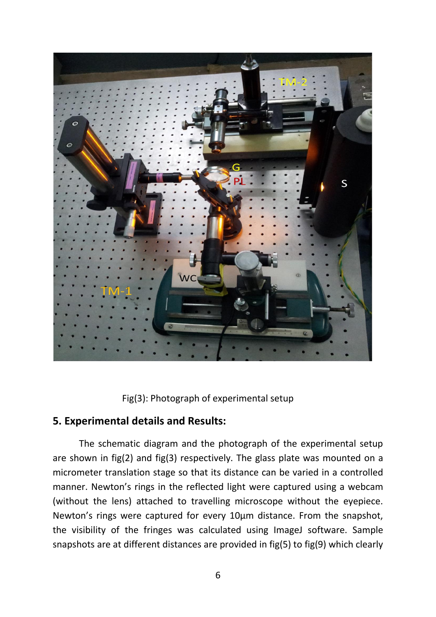

Fig(3): Photograph of experimental setup

# **5. Experimental details and Results:**

The schematic diagram and the photograph of the experimental setup are shown in fig(2) and fig(3) respectively. The glass plate was mounted on a micrometer translation stage so that its distance can be varied in a controlled manner. Newton's rings in the reflected light were captured using a webcam (without the lens) attached to travelling microscope without the eyepiece. Newton's rings were captured for every 10µm distance. From the snapshot, the visibility of the fringes was calculated using ImageJ software. Sample snapshots are at different distances are provided in fig(5) to fig(9) which clearly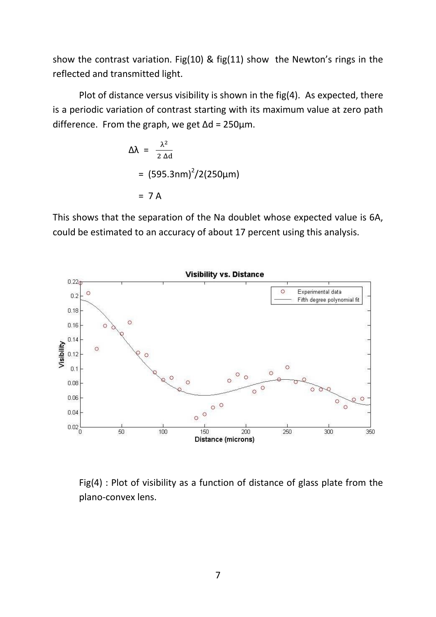show the contrast variation. Fig(10) & fig(11) show the Newton's rings in the reflected and transmitted light.

Plot of distance versus visibility is shown in the fig(4). As expected, there is a periodic variation of contrast starting with its maximum value at zero path difference. From the graph, we get  $\Delta d = 250 \mu m$ .

$$
\Delta\lambda = \frac{\lambda^2}{2 \Delta d}
$$
  
= (595.3nm)<sup>2</sup>/2(250µm)  
= 7 A

This shows that the separation of the Na doublet whose expected value is 6A, could be estimated to an accuracy of about 17 percent using this analysis.



Fig(4) : Plot of visibility as a function of distance of glass plate from the plano-convex lens.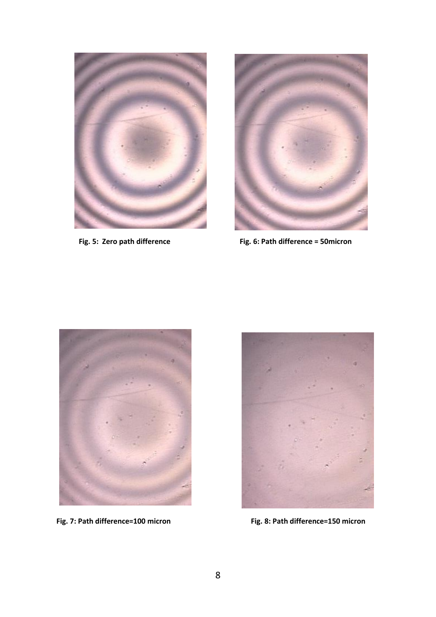



**Fig. 5: Zero path difference** Fig. 6: Path difference = 50micron





Fig. 7: Path difference=100 micron Fig. 8: Path difference=150 micron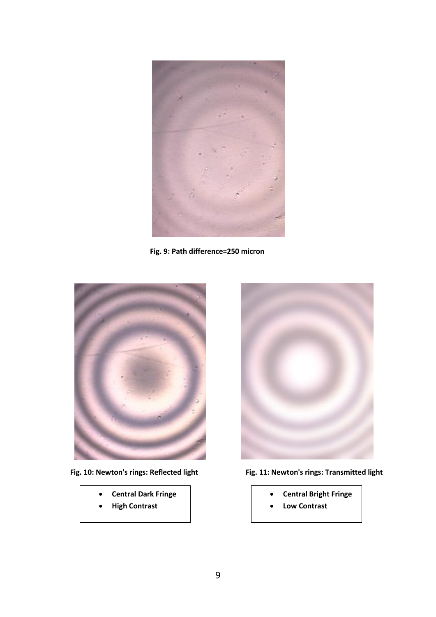

**Fig. 9: Path difference=250 micron**



- **Central Dark Fringe**
- **High Contrast**



- Fig. 10: Newton's rings: Reflected light Fig. 11: Newton's rings: Transmitted light
	- **Central Bright Fringe**
	- **Low Contrast**